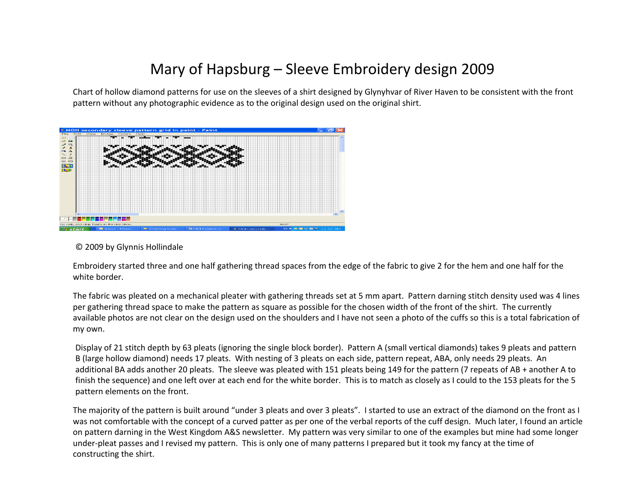## Mary of Hapsburg – Sleeve Embroidery design 2009

Chart of hollow diamond patterns for use on the sleeves of a shirt designed by Glynyhvar of River Haven to be consistent with the front pattern without any photographic evidence as to the original design used on the original shirt.



© 2009 by Glynnis Hollindale

Embroidery started three and one half gathering thread spaces from the edge of the fabric to give 2 for the hem and one half for the white border.

The fabric was pleated on a mechanical pleater with gathering threads set at 5 mm apart. Pattern darning stitch density used was 4 lines per gathering thread space to make the pattern as square as possible for the chosen width of the front of the shirt. The currently available photos are not clear on the design used on the shoulders and I have not seen a photo of the cuffs so this is a total fabrication of my own.

Display of 21 stitch depth by 63 pleats (ignoring the single block border). Pattern A (small vertical diamonds) takes 9 pleats and pattern B (large hollow diamond) needs 17 pleats. With nesting of 3 pleats on each side, pattern repeat, ABA, only needs 29 pleats. An additional BA adds another 20 pleats. The sleeve was pleated with 151 pleats being 149 for the pattern (7 repeats of AB + another A to finish the sequence) and one left over at each end for the white border. This is to match as closely as I could to the 153 pleats for the 5 pattern elements on the front.

The majority of the pattern is built around "under 3 pleats and over 3 pleats". I started to use an extract of the diamond on the front as I was not comfortable with the concept of a curved patter as per one of the verbal reports of the cuff design. Much later, I found an article on pattern darning in the West Kingdom A&S newsletter. My pattern was very similar to one of the examples but mine had some longer under-pleat passes and I revised my pattern. This is only one of many patterns I prepared but it took my fancy at the time of constructing the shirt.